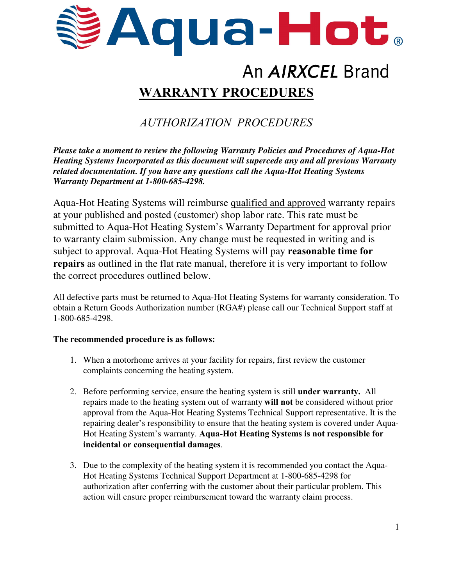

# An AIRXCEL Brand **WARRANTY PROCEDURES**

## *AUTHORIZATION PROCEDURES*

*Please take a moment to review the following Warranty Policies and Procedures of Aqua-Hot Heating Systems Incorporated as this document will supercede any and all previous Warranty related documentation. If you have any questions call the Aqua-Hot Heating Systems Warranty Department at 1-800-685-4298.* 

Aqua-Hot Heating Systems will reimburse qualified and approved warranty repairs at your published and posted (customer) shop labor rate. This rate must be submitted to Aqua-Hot Heating System's Warranty Department for approval prior to warranty claim submission. Any change must be requested in writing and is subject to approval. Aqua-Hot Heating Systems will pay **reasonable time for repairs** as outlined in the flat rate manual, therefore it is very important to follow the correct procedures outlined below.

All defective parts must be returned to Aqua-Hot Heating Systems for warranty consideration. To obtain a Return Goods Authorization number (RGA#) please call our Technical Support staff at 1-800-685-4298.

#### **The recommended procedure is as follows:**

- 1. When a motorhome arrives at your facility for repairs, first review the customer complaints concerning the heating system.
- 2. Before performing service, ensure the heating system is still **under warranty.** All repairs made to the heating system out of warranty **will not** be considered without prior approval from the Aqua-Hot Heating Systems Technical Support representative. It is the repairing dealer's responsibility to ensure that the heating system is covered under Aqua-Hot Heating System's warranty. **Aqua-Hot Heating Systems is not responsible for incidental or consequential damages**.
- 3. Due to the complexity of the heating system it is recommended you contact the Aqua-Hot Heating Systems Technical Support Department at 1-800-685-4298 for authorization after conferring with the customer about their particular problem. This action will ensure proper reimbursement toward the warranty claim process.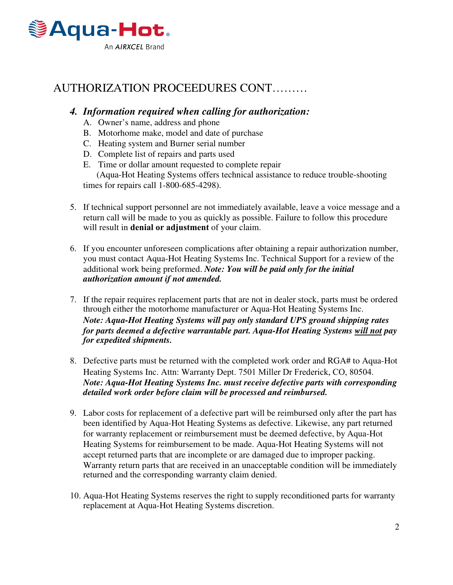

### AUTHORIZATION PROCEEDURES CONT………

#### *4. Information required when calling for authorization:*

- A. Owner's name, address and phone
- B. Motorhome make, model and date of purchase
- C. Heating system and Burner serial number
- D. Complete list of repairs and parts used
- E. Time or dollar amount requested to complete repair

(Aqua-Hot Heating Systems offers technical assistance to reduce trouble-shooting times for repairs call 1-800-685-4298).

- 5. If technical support personnel are not immediately available, leave a voice message and a return call will be made to you as quickly as possible. Failure to follow this procedure will result in **denial or adjustment** of your claim.
- 6. If you encounter unforeseen complications after obtaining a repair authorization number, you must contact Aqua-Hot Heating Systems Inc. Technical Support for a review of the additional work being preformed. *Note: You will be paid only for the initial authorization amount if not amended.*
- 7. If the repair requires replacement parts that are not in dealer stock, parts must be ordered through either the motorhome manufacturer or Aqua-Hot Heating Systems Inc. *Note: Aqua-Hot Heating Systems will pay only standard UPS ground shipping rates for parts deemed a defective warrantable part. Aqua-Hot Heating Systems will not pay for expedited shipments.*
- 8. Defective parts must be returned with the completed work order and RGA# to Aqua-Hot Heating Systems Inc. Attn: Warranty Dept. 7501 Miller Dr Frederick, CO, 80504. *Note: Aqua-Hot Heating Systems Inc. must receive defective parts with corresponding detailed work order before claim will be processed and reimbursed.*
- 9. Labor costs for replacement of a defective part will be reimbursed only after the part has been identified by Aqua-Hot Heating Systems as defective. Likewise, any part returned for warranty replacement or reimbursement must be deemed defective, by Aqua-Hot Heating Systems for reimbursement to be made. Aqua-Hot Heating Systems will not accept returned parts that are incomplete or are damaged due to improper packing. Warranty return parts that are received in an unacceptable condition will be immediately returned and the corresponding warranty claim denied.
- 10. Aqua-Hot Heating Systems reserves the right to supply reconditioned parts for warranty replacement at Aqua-Hot Heating Systems discretion.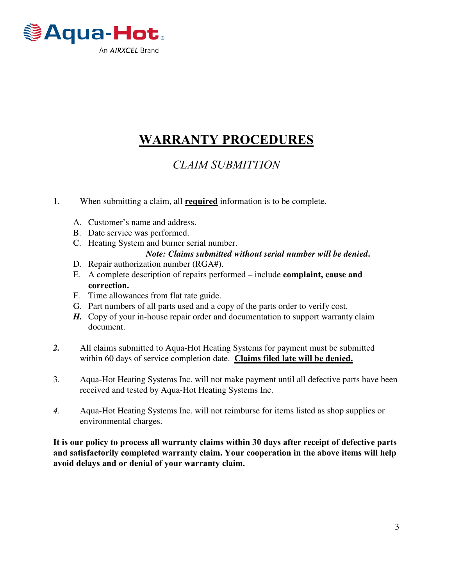

## **WARRANTY PROCEDURES**

### *CLAIM SUBMITTION*

- 1. When submitting a claim, all **required** information is to be complete.
	- A. Customer's name and address.
	- B. Date service was performed.
	- C. Heating System and burner serial number.
		- *Note: Claims submitted without serial number will be denied***.**
	- D. Repair authorization number (RGA#).
	- E. A complete description of repairs performed include **complaint, cause and correction.**
	- F. Time allowances from flat rate guide.
	- G. Part numbers of all parts used and a copy of the parts order to verify cost.
	- *H.* Copy of your in-house repair order and documentation to support warranty claim document.
- *2.* All claims submitted to Aqua-Hot Heating Systems for payment must be submitted within 60 days of service completion date. **Claims filed late will be denied.**
- 3. Aqua-Hot Heating Systems Inc. will not make payment until all defective parts have been received and tested by Aqua-Hot Heating Systems Inc.
- *4.* Aqua-Hot Heating Systems Inc. will not reimburse for items listed as shop supplies or environmental charges.

**It is our policy to process all warranty claims within 30 days after receipt of defective parts and satisfactorily completed warranty claim. Your cooperation in the above items will help avoid delays and or denial of your warranty claim.**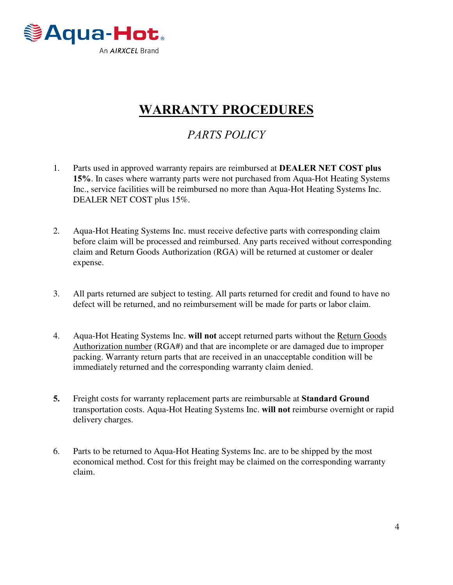

## **WARRANTY PROCEDURES**

## *PARTS POLICY*

- 1. Parts used in approved warranty repairs are reimbursed at **DEALER NET COST plus 15%**. In cases where warranty parts were not purchased from Aqua-Hot Heating Systems Inc., service facilities will be reimbursed no more than Aqua-Hot Heating Systems Inc. DEALER NET COST plus 15%.
- 2. Aqua-Hot Heating Systems Inc. must receive defective parts with corresponding claim before claim will be processed and reimbursed. Any parts received without corresponding claim and Return Goods Authorization (RGA) will be returned at customer or dealer expense.
- 3. All parts returned are subject to testing. All parts returned for credit and found to have no defect will be returned, and no reimbursement will be made for parts or labor claim.
- 4. Aqua-Hot Heating Systems Inc. **will not** accept returned parts without the Return Goods Authorization number (RGA#) and that are incomplete or are damaged due to improper packing. Warranty return parts that are received in an unacceptable condition will be immediately returned and the corresponding warranty claim denied.
- **5.** Freight costs for warranty replacement parts are reimbursable at **Standard Ground** transportation costs. Aqua-Hot Heating Systems Inc. **will not** reimburse overnight or rapid delivery charges.
- 6. Parts to be returned to Aqua-Hot Heating Systems Inc. are to be shipped by the most economical method. Cost for this freight may be claimed on the corresponding warranty claim.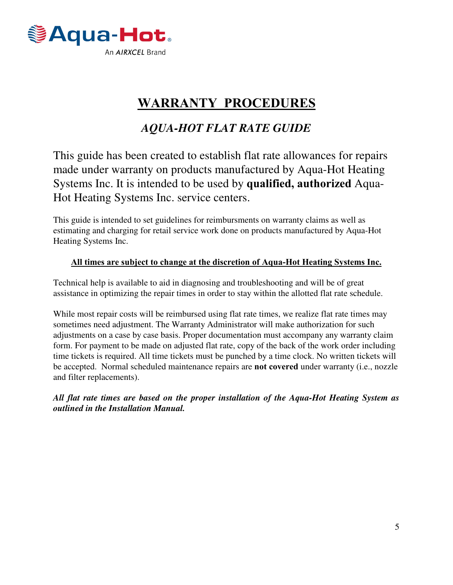

## **WARRANTY PROCEDURES**

### *AQUA-HOT FLAT RATE GUIDE*

This guide has been created to establish flat rate allowances for repairs made under warranty on products manufactured by Aqua-Hot Heating Systems Inc. It is intended to be used by **qualified, authorized** Aqua-Hot Heating Systems Inc. service centers.

This guide is intended to set guidelines for reimbursments on warranty claims as well as estimating and charging for retail service work done on products manufactured by Aqua-Hot Heating Systems Inc.

#### **All times are subject to change at the discretion of Aqua-Hot Heating Systems Inc.**

Technical help is available to aid in diagnosing and troubleshooting and will be of great assistance in optimizing the repair times in order to stay within the allotted flat rate schedule.

While most repair costs will be reimbursed using flat rate times, we realize flat rate times may sometimes need adjustment. The Warranty Administrator will make authorization for such adjustments on a case by case basis. Proper documentation must accompany any warranty claim form. For payment to be made on adjusted flat rate, copy of the back of the work order including time tickets is required. All time tickets must be punched by a time clock. No written tickets will be accepted. Normal scheduled maintenance repairs are **not covered** under warranty (i.e., nozzle and filter replacements).

*All flat rate times are based on the proper installation of the Aqua-Hot Heating System as outlined in the Installation Manual.*